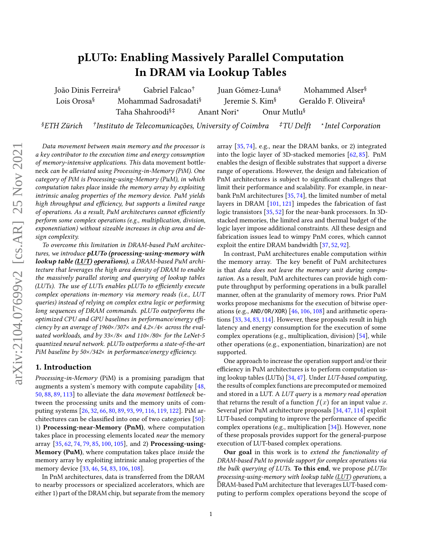# pLUTo: Enabling Massively Parallel Computation In DRAM via Lookup Tables

João Dinis Ferreira<sup>§</sup> Gabriel Falcao<sup>†</sup> Juan Gómez-Luna§ Mohammed Alser§ Lois Orosa<sup>§</sup> Mohammad Sadrosadati<sup>§</sup> Jeremie S. Kim<sup>§</sup> Geraldo F. Oliveira<sup>§</sup> Taha Shahroodi<sup>§‡</sup> Anant Nori<sup>\*</sup> Onur Mutlu<sup>§</sup>

§ETH Zürich † <sup>†</sup>Instituto de Telecomunicações, University of Coimbra  $\pm$ TU Delft \*Intel Corporation

Data movement between main memory and the processor is a key contributor to the execution time and energy consumption of memory-intensive applications. This data movement bottleneck can be alleviated using Processing-in-Memory (PiM). One category of PiM is Processing-using-Memory (PuM), in which computation takes place inside the memory array by exploiting intrinsic analog properties of the memory device. PuM yields high throughput and efficiency, but supports a limited range of operations. As a result, PuM architectures cannot efficiently perform some complex operations (e.g., multiplication, division, exponentiation) without sizeable increases in chip area and design complexity.

To overcome this limitation in DRAM-based PuM architectures, we introduce pLUTo (processing-using-memory with lookup table (LUT) operations), a DRAM-based PuM architecture that leverages the high area density of DRAM to enable the massively parallel storing and querying of lookup tables (LUTs). The use of LUTs enables pLUTo to efficiently execute complex operations in-memory via memory reads (i.e., LUT queries) instead of relying on complex extra logic or performing long sequences of DRAM commands. pLUTo outperforms the optimized CPU and GPU baselines in performance/energy efficiency by an average of 1960 $\times$ /307 $\times$  and 4.2 $\times$ /4 $\times$  across the evaluated workloads, and by  $33 \times / 8 \times$  and  $110 \times / 80 \times$  for the LeNet-5 quantized neural network. pLUTo outperforms a state-of-the-art PiM baseline by  $50\times/342\times$  in performance/energy efficiency.

# 1. Introduction

Processing-in-Memory (PiM) is a promising paradigm that augments a system's memory with compute capability [\[48,](#page-11-0) [50,](#page-11-1) [88,](#page-12-0) [89,](#page-12-1) [113\]](#page-12-2) to alleviate the data movement bottleneck between the processing units and the memory units of computing systems [\[26,](#page-11-2) [32,](#page-11-3) [66,](#page-12-3) [80,](#page-12-4) [89,](#page-12-1) [93,](#page-12-5) [99,](#page-12-6) [116,](#page-13-0) [119,](#page-13-1) [122\]](#page-13-2). PiM architectures can be classified into one of two categories  $[50]$ : 1) Processing-near-Memory (PnM), where computation takes place in processing elements located *near* the memory array [\[35,](#page-11-4) [62,](#page-12-7) [74,](#page-12-8) [79,](#page-12-9) [85,](#page-12-10) [100,](#page-12-11) [105\]](#page-12-12), and 2) Processing-using-**Memory (PuM)**, where computation takes place *inside* the memory array by exploiting intrinsic analog properties of the memory device [\[33,](#page-11-5) [46,](#page-11-6) [54,](#page-11-7) [83,](#page-12-13) [106,](#page-12-14) [108\]](#page-12-15).

In PnM architectures, data is transferred from the DRAM to nearby processors or specialized accelerators, which are either 1) part of the DRAM chip, but separate from the memory array [\[35,](#page-11-4) [74\]](#page-12-8), e.g., near the DRAM banks, or 2) integrated into the logic layer of 3D-stacked memories [\[62,](#page-12-7) [85\]](#page-12-10). PnM enables the design of flexible substrates that support a diverse range of operations. However, the design and fabrication of PnM architectures is subject to significant challenges that limit their performance and scalability. For example, in nearbank PnM architectures [\[35,](#page-11-4) [74\]](#page-12-8), the limited number of metal layers in DRAM [\[101,](#page-12-16) [121\]](#page-13-3) impedes the fabrication of fast logic transistors [\[35,](#page-11-4) [52\]](#page-11-8) for the near-bank processors. In 3Dstacked memories, the limited area and thermal budget of the logic layer impose additional constraints. All these design and fabrication issues lead to wimpy PnM cores, which cannot exploit the entire DRAM bandwidth [\[37,](#page-11-9) [52,](#page-11-8) [92\]](#page-12-17).

In contrast, PuM architectures enable computation within the memory array. The key benefit of PuM architectures is that data does not leave the memory unit during computation. As a result, PuM architectures can provide high compute throughput by performing operations in a bulk parallel manner, often at the granularity of memory rows. Prior PuM works propose mechanisms for the execution of bitwise operations (e.g., AND/OR/XOR) [\[46,](#page-11-6) [106,](#page-12-14) [108\]](#page-12-15) and arithmetic operations [\[33,](#page-11-5) [34,](#page-11-10) [83,](#page-12-13) [114\]](#page-12-18). However, these proposals result in high latency and energy consumption for the execution of some complex operations (e.g., multiplication, division) [\[54\]](#page-11-7), while other operations (e.g., exponentiation, binarization) are not supported.

One approach to increase the operation support and/or their efficiency in PuM architectures is to perform computation using lookup tables (LUTs) [\[34,](#page-11-10) [47\]](#page-11-11). Under LUT-based computing, the results of complex functions are precomputed or memoized and stored in a LUT. A LUT query is a memory read operation that returns the result of a function  $f(x)$  for an input value *x*. Several prior PuM architecture proposals [\[34,](#page-11-10) [47,](#page-11-11) [114\]](#page-12-18) exploit LUT-based computing to improve the performance of specific complex operations (e.g., multiplication [\[34\]](#page-11-10)). However, none of these proposals provides support for the general-purpose execution of LUT-based complex operations.

Our goal in this work is to extend the functionality of DRAM-based PuM to provide support for complex operations via the bulk querying of LUTs. To this end, we propose  $pLUT$ o: processing-using-memory with lookup table (LUT) operations, a DRAM-based PuM architecture that leverages LUT-based computing to perform complex operations beyond the scope of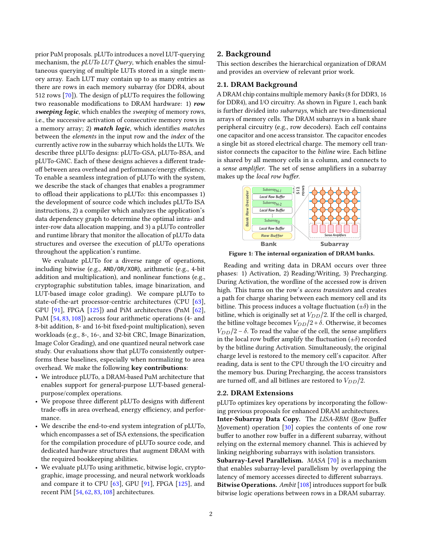prior PuM proposals. pLUTo introduces a novel LUT-querying mechanism, the pLUTo LUT Query, which enables the simultaneous querying of multiple LUTs stored in a single memory array. Each LUT may contain up to as many entries as there are rows in each memory subarray (for DDR4, about 512 rows [\[70\]](#page-12-19)). The design of pLUTo requires the following two reasonable modifications to DRAM hardware: 1) row sweeping logic, which enables the sweeping of memory rows, i.e., the successive activation of consecutive memory rows in a memory array; 2) match logic, which identifies matches between the elements in the input row and the index of the currently active row in the subarray which holds the LUTs. We describe three pLUTo designs: pLUTo-GSA, pLUTo-BSA, and pLUTo-GMC. Each of these designs achieves a different tradeoff between area overhead and performance/energy efficiency. To enable a seamless integration of pLUTo with the system, we describe the stack of changes that enables a programmer to offload their applications to pLUTo: this encompasses 1) the development of source code which includes pLUTo ISA instructions, 2) a compiler which analyzes the application's data dependency graph to determine the optimal intra- and inter-row data allocation mapping, and 3) a pLUTo controller and runtime library that monitor the allocation of pLUTo data structures and oversee the execution of pLUTo operations throughout the application's runtime.

We evaluate pLUTo for a diverse range of operations, including bitwise (e.g., AND/OR/XOR), arithmetic (e.g., 4-bit addition and multiplication), and nonlinear functions (e.g., cryptographic substitution tables, image binarization, and LUT-based image color grading). We compare pLUTo to state-of-the-art processor-centric architectures (CPU [\[63\]](#page-12-20), GPU [\[91\]](#page-12-21), FPGA [\[125\]](#page-13-4)) and PiM architectures (PnM [\[62\]](#page-12-7), PuM [\[54,](#page-11-7) [83,](#page-12-13) [108\]](#page-12-15)) across four arithmetic operations (4- and 8-bit addition, 8- and 16-bit fixed-point multiplication), seven workloads (e.g., 8-, 16-, and 32-bit CRC, Image Binarization, Image Color Grading), and one quantized neural network case study. Our evaluations show that pLUTo consistently outperforms these baselines, especially when normalizing to area overhead. We make the following key contributions:

- We introduce pLUTo, a DRAM-based PuM architecture that enables support for general-purpose LUT-based generalpurpose/complex operations.
- We propose three different pLUTo designs with different trade-offs in area overhead, energy efficiency, and performance.
- We describe the end-to-end system integration of pLUTo, which encompasses a set of ISA extensions, the specification for the compilation procedure of pLUTo source code, and dedicated hardware structures that augment DRAM with the required bookkeeping abilities.
- We evaluate pLUTo using arithmetic, bitwise logic, cryptographic, image processing, and neural network workloads and compare it to CPU [\[63\]](#page-12-20), GPU [\[91\]](#page-12-21), FPGA [\[125\]](#page-13-4), and recent PiM [\[54,](#page-11-7) [62,](#page-12-7) [83,](#page-12-13) [108\]](#page-12-15) architectures.

## 2. Background

This section describes the hierarchical organization of DRAM and provides an overview of relevant prior work.

#### 2.1. DRAM Background

A DRAM chip contains multiple memory banks (8 for DDR3, 16 for DDR4), and I/O circuitry. As shown in [Figure 1,](#page-1-0) each bank is further divided into subarrays, which are two-dimensional arrays of memory cells. The DRAM subarrays in a bank share peripheral circuitry (e.g., row decoders). Each cell contains one capacitor and one access transistor. The capacitor encodes a single bit as stored electrical charge. The memory cell transistor connects the capacitor to the bitline wire. Each bitline is shared by all memory cells in a column, and connects to a sense amplifier. The set of sense amplifiers in a subarray makes up the local row buffer.

<span id="page-1-0"></span>

Figure 1: The internal organization of DRAM banks.

Reading and writing data in DRAM occurs over three phases: 1) Activation, 2) Reading/Writing, 3) Precharging. During Activation, the wordline of the accessed row is driven high. This turns on the row's access transistors and creates a path for charge sharing between each memory cell and its bitline. This process induces a voltage fluctuation  $(\pm \delta)$  in the bitline, which is originally set at  $V_{DD}/2$ . If the cell is charged, the bitline voltage becomes  $V_{DD}/2 + \delta$ . Otherwise, it becomes  $V_{DD}/2 - \delta$ . To read the value of the cell, the sense amplifiers in the local row buffer amplify the fluctuation  $(\pm \delta)$  recorded by the bitline during Activation. Simultaneously, the original charge level is restored to the memory cell's capacitor. After reading, data is sent to the CPU through the I/O circuitry and the memory bus. During Precharging, the access transistors are turned off, and all bitlines are restored to  $V_{DD}/2$ .

#### <span id="page-1-1"></span>2.2. DRAM Extensions

pLUTo optimizes key operations by incorporating the following previous proposals for enhanced DRAM architectures. Inter-Subarray Data Copy. The LISA-RBM (Row Buffer Movement) operation [\[30\]](#page-11-12) copies the contents of one row buffer to another row buffer in a different subarray, without relying on the external memory channel. This is achieved by linking neighboring subarrays with isolation transistors. Subarray-Level Parallelism. MASA [\[70\]](#page-12-19) is a mechanism that enables subarray-level parallelism by overlapping the latency of memory accesses directed to different subarrays. Bitwise Operations. Ambit [\[108\]](#page-12-15) introduces support for bulk bitwise logic operations between rows in a DRAM subarray.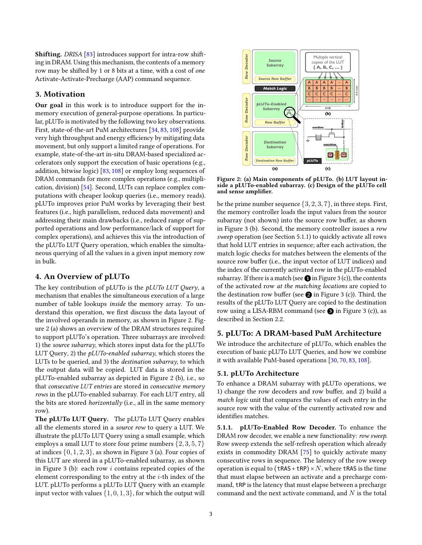Shifting. DRISA [\[83\]](#page-12-13) introduces support for intra-row shifting in DRAM. Using this mechanism, the contents of a memory row may be shifted by 1 or 8 bits at a time, with a cost of one Activate-Activate-Precharge (AAP) command sequence.

## <span id="page-2-3"></span>3. Motivation

Our goal in this work is to introduce support for the inmemory execution of general-purpose operations. In particular, pLUTo is motivated by the following two key observations. First, state-of-the-art PuM architectures [\[34,](#page-11-10) [83,](#page-12-13) [108\]](#page-12-15) provide very high throughput and energy efficiency by mitigating data movement, but only support a limited range of operations. For example, state-of-the-art in-situ DRAM-based specialized accelerators only support the execution of basic operations (e.g., addition, bitwise logic) [\[83,](#page-12-13) [108\]](#page-12-15) or employ long sequences of DRAM commands for more complex operations (e.g., multiplication, division) [\[54\]](#page-11-7). Second, LUTs can replace complex computations with cheaper lookup queries (i.e., memory reads). pLUTo improves prior PuM works by leveraging their best features (i.e., high parallelism, reduced data movement) and addressing their main drawbacks (i.e., reduced range of supported operations and low performance/lack of support for complex operations), and achieves this via the introduction of the pLUTo LUT Query operation, which enables the simultaneous querying of all the values in a given input memory row in bulk.

## 4. An Overview of pLUTo

The key contribution of pLUTo is the *pLUTo LUT Query*, a mechanism that enables the simultaneous execution of a large number of table lookups inside the memory array. To understand this operation, we first discuss the data layout of the involved operands in memory, as shown in [Figure 2.](#page-2-0) [Fig](#page-2-0)[ure 2](#page-2-0) (a) shows an overview of the DRAM structures required to support pLUTo's operation. Three subarrays are involved: 1) the source subarray, which stores input data for the pLUTo LUT Query, 2) the  $pLUTo$ -enabled subarray, which stores the LUTs to be queried, and 3) the *destination subarray*, to which the output data will be copied. LUT data is stored in the pLUTo-enabled subarray as depicted in [Figure 2](#page-2-0) (b), i.e., so that consecutive LUT entries are stored in consecutive memory rows in the pLUTo-enabled subarray. For each LUT entry, all the bits are stored *horizontally* (i.e., all in the same memory row).

The pLUTo LUT Query. The pLUTo LUT Query enables all the elements stored in a source row to query a LUT. We illustrate the pLUTo LUT Query using a small example, which employs a small LUT to store four prime numbers {2*,* 3*,* 5*,* 7} at indices  $\{0, 1, 2, 3\}$ , as shown in [Figure 3](#page-3-0) (a). Four copies of this LUT are stored in a pLUTo-enabled subarray, as shown in [Figure 3](#page-3-0) (b): each row *i* contains repeated copies of the element corresponding to the entry at the *i*-th index of the LUT. pLUTo performs a pLUTo LUT Query with an example input vector with values  $\{1, 0, 1, 3\}$ , for which the output will

<span id="page-2-0"></span>

Figure 2: (a) Main components of pLUTo. (b) LUT layout inside a pLUTo-enabled subarray. (c) Design of the pLUTo cell and sense amplifier.

be the prime number sequence {3*,* 2*,* 3*,* 7}, in three steps. First, the memory controller loads the input values from the source subarray (not shown) into the source row buffer, as shown in [Figure 3](#page-3-0) (b). Second, the memory controller issues a row sweep operation (see [Section 5.1.1\)](#page-2-1) to quickly activate all rows that hold LUT entries in sequence; after each activation, the match logic checks for matches between the elements of the source row buffer (i.e., the input vector of LUT indices) and the index of the currently activated row in the pLUTo-enabled subarray. If there is a match (see  $\bigcirc$  in [Figure 3](#page-3-0) (c)), the contents of the activated row at the matching locations are copied to the destination row buffer (see  $\bigcirc$  in [Figure 3](#page-3-0) (c)). Third, the results of the pLUTo LUT Query are copied to the destination row using a LISA-RBM command (see  $\bigcirc$  in [Figure 3](#page-3-0) (c)), as described in Section [2.2.](#page-1-1)

## 5. pLUTo: A DRAM-based PuM Architecture

We introduce the architecture of pLUTo, which enables the execution of basic pLUTo LUT Queries, and how we combine it with available PuM-based operations [\[30,](#page-11-12) [70,](#page-12-19) [83,](#page-12-13) [108\]](#page-12-15).

#### <span id="page-2-2"></span>5.1. pLUTo Architecture

To enhance a DRAM subarray with pLUTo operations, we 1) change the row decoders and row buffer, and 2) build a match logic unit that compares the values of each entry in the source row with the value of the currently activated row and identifies matches.

<span id="page-2-1"></span>5.1.1. pLUTo-Enabled Row Decoder. To enhance the DRAM row decoder, we enable a new functionality: row sweep. Row sweep extends the self-refresh operation which already exists in commodity DRAM [\[75\]](#page-12-22) to quickly activate many consecutive rows in sequence. The latency of the row sweep operation is equal to  $(tRAS+tRP) \times N$ , where tRAS is the time that must elapse between an activate and a precharge command, tRP is the latency that must elapse between a precharge command and the next activate command, and *N* is the total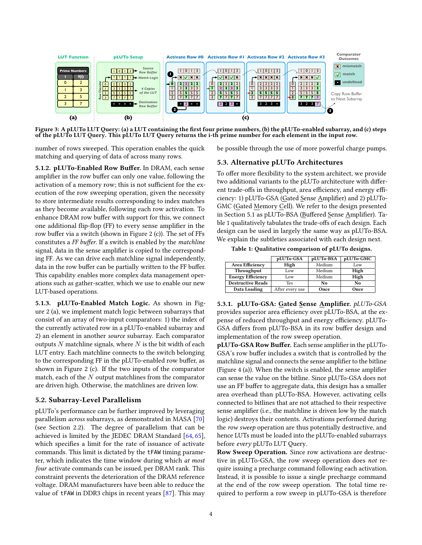<span id="page-3-0"></span>

Figure 3: A pLUTo LUT Query: (a) a LUT containing the first four prime numbers, (b) the pLUTo-enabled subarray, and (c) steps of the pLUTo LUT Query. This pLUTo LUT Query returns the i-th prime number for each element in the input row.

number of rows sweeped. This operation enables the quick matching and querying of data of across many rows.

5.1.2. pLUTo-Enabled Row Buffer. In DRAM, each sense amplifier in the row buffer can only one value, following the activation of a memory row; this is not sufficient for the execution of the row sweeping operation, given the necessity to store intermediate results corresponding to index matches as they become available, following each row activation. To enhance DRAM row buffer with support for this, we connect one additional flip-flop (FF) to every sense amplifier in the row buffer via a switch (shown in [Figure 2](#page-2-0) (c)). The set of  $FFs$ constitutes a FF buffer. If a switch is enabled by the matchline signal, data in the sense amplifier is copied to the corresponding FF. As we can drive each matchline signal independently, data in the row buffer can be partially written to the FF buffer. This capability enables more complex data management operations such as gather-scatter, which we use to enable our new LUT-based operations.

5.1.3. pLUTo-Enabled Match Logic. As shown in [Fig](#page-2-0)[ure 2](#page-2-0) (a), we implement match logic between subarrays that consist of an array of two-input comparators: 1) the index of the currently activated row in a pLUTo-enabled subarray and 2) an element in another source subarray. Each comparator outputs *N* matchline signals, where *N* is the bit width of each LUT entry. Each matchline connects to the switch belonging to the corresponding FF in the pLUTo-enabled row buffer, as shown in [Figure 2](#page-2-0) (c). If the two inputs of the comparator match, each of the *N* output matchlines from the comparator are driven high. Otherwise, the matchlines are driven low.

#### 5.2. Subarray-Level Parallelism

pLUTo's performance can be further improved by leveraging parallelism *across* subarrays, as demonstrated in MASA [\[70\]](#page-12-19) (see Section [2.2\)](#page-1-1). The degree of parallelism that can be achieved is limited by the JEDEC DRAM Standard [\[64,](#page-12-23) [65\]](#page-12-24), which specifies a limit for the rate of issuance of activate commands. This limit is dictated by the tFAW timing parameter, which indicates the time window during which at most four activate commands can be issued, per DRAM rank. This constraint prevents the deterioration of the DRAM reference voltage. DRAM manufacturers have been able to reduce the value of tFAW in DDR3 chips in recent years [\[87\]](#page-12-25). This may be possible through the use of more powerful charge pumps.

#### 5.3. Alternative pLUTo Architectures

To offer more flexibility to the system architect, we provide two additional variants to the pLUTo architecture with different trade-offs in throughput, area efficiency, and energy efficiency: 1) pLUTo-GSA (Gated Sense Amplifier) and 2) pLUTo-GMC (Gated Memory Cell). We refer to the design presented in [Section 5.1](#page-2-2) as pLUTo-BSA (Buffered Sense Amplifier). Ta-ble [1](#page-3-1) qualitatively tabulates the trade-offs of each design. Each design can be used in largely the same way as pLUTo-BSA. We explain the subtleties associated with each design next.

Table 1: Qualitative comparison of pLUTo designs.

<span id="page-3-1"></span>

|                          | pLUTo-GSA       | pLUTo-BSA | pLUTo-GMC |  |
|--------------------------|-----------------|-----------|-----------|--|
| Area Efficiency          | High            | Medium    | Low       |  |
| Throughput               | Low             | Medium    | High      |  |
| <b>Energy Efficiency</b> | Low             | Medium    | High      |  |
| <b>Destructive Reads</b> | <b>Yes</b>      | No        | No        |  |
| Data Loading             | After every use | Once      | Once      |  |

5.3.1. pLUTo-GSA: Gated Sense Amplifier. pLUTo-GSA provides superior area efficiency over pLUTo-BSA, at the expense of reduced throughput and energy efficiency. pLUTo-GSA differs from pLUTo-BSA in its row buffer design and implementation of the row sweep operation.

pLUTo-GSA Row Buffer. Each sense amplifier in the pLUTo-GSA's row buffer includes a switch that is controlled by the matchline signal and connects the sense amplifier to the bitline (Figure  $4$  (a)). When the switch is enabled, the sense amplifier can sense the value on the bitline. Since pLUTo-GSA does not use an FF buffer to aggregate data, this design has a smaller area overhead than pLUTo-BSA. However, activating cells connected to bitlines that are not attached to their respective sense amplifier (i.e., the matchline is driven low by the match logic) destroys their contents. Activations performed during the row sweep operation are thus potentially destructive, and hence LUTs must be loaded into the pLUTo-enabled subarrays before every pLUTo LUT Query.

Row Sweep Operation. Since row activations are destructive in pLUTo-GSA, the row sweep operation does not require issuing a precharge command following each activation. Instead, it is possible to issue a single precharge command at the end of the row sweep operation. The total time required to perform a row sweep in pLUTo-GSA is therefore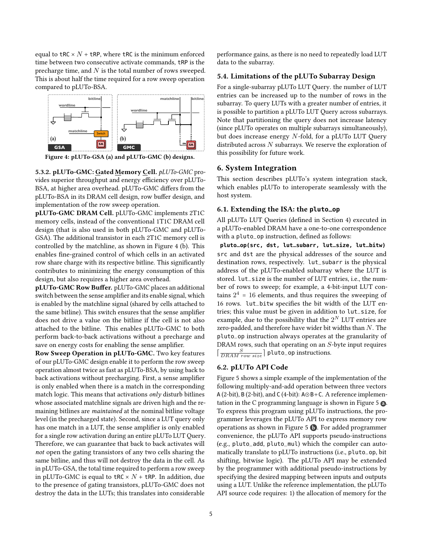equal to tRC  $\times$  *N* + tRP, where tRC is the minimum enforced time between two consecutive activate commands, tRP is the precharge time, and *N* is the total number of rows sweeped. This is about half the time required for a row sweep operation compared to pLUTo-BSA.

<span id="page-4-0"></span>

Figure 4: pLUTo-GSA (a) and pLUTo-GMC (b) designs.

5.3.2. pLUTo-GMC: Gated Memory Cell. pLUTo-GMC provides superior throughput and energy efficiency over pLUTo-BSA, at higher area overhead. pLUTo-GMC differs from the pLUTo-BSA in its DRAM cell design, row buffer design, and implementation of the row sweep operation.

pLUTo-GMC DRAM Cell. pLUTo-GMC implements 2T1C memory cells, instead of the conventional 1T1C DRAM cell design (that is also used in both pLUTo-GMC and pLUTo-GSA). The additional transistor in each 2T1C memory cell is controlled by the matchline, as shown in [Figure 4](#page-4-0) (b). This enables fine-grained control of which cells in an activated row share charge with its respective bitline. This significantly contributes to minimizing the energy consumption of this design, but also requires a higher area overhead.

pLUTo-GMC Row Buffer. pLUTo-GMC places an additional switch between the sense amplifier and its enable signal, which is enabled by the matchline signal (shared by cells attached to the same bitline). This switch ensures that the sense amplifier does not drive a value on the bitline if the cell is not also attached to the bitline. This enables pLUTo-GMC to both perform back-to-back activations without a precharge and save on energy costs for enabling the sense amplifier.

Row Sweep Operation in pLUTo-GMC. Two key features of our pLUTo-GMC design enable it to perform the row sweep operation almost twice as fast as pLUTo-BSA, by using back to back activations without precharging. First, a sense amplifier is only enabled when there is a match in the corresponding match logic. This means that activations only disturb bitlines whose associated matchline signals are driven high and the remaining bitlines are maintained at the nominal bitline voltage level (in the precharged state). Second, since a LUT query only has one match in a LUT, the sense amplifier is only enabled for a single row activation during an entire pLUTo LUT Query. Therefore, we can guarantee that back to back activates will not open the gating transistors of any two cells sharing the same bitline, and thus will not destroy the data in the cell. As in pLUTo-GSA, the total time required to perform a row sweep in pLUTo-GMC is equal to  $\texttt{tRC} \times N$  +  $\texttt{tRP}$ . In addition, due to the presence of gating transistors, pLUTo-GMC does not destroy the data in the LUTs; this translates into considerable

performance gains, as there is no need to repeatedly load LUT data to the subarray.

#### 5.4. Limitations of the pLUTo Subarray Design

For a single-subarray pLUTo LUT Query. the number of LUT entries can be increased up to the number of rows in the subarray. To query LUTs with a greater number of entries, it is possible to partition a pLUTo LUT Query across subarrays. Note that partitioning the query does not increase latency (since pLUTo operates on multiple subarrays simultaneously), but does increase energy *N*-fold, for a pLUTo LUT Query distributed across *N* subarrays. We reserve the exploration of this possibility for future work.

#### 6. System Integration

This section describes pLUTo's system integration stack, which enables pLUTo to interoperate seamlessly with the host system.

## 6.1. Extending the ISA: the **pluto\_op**

All pLUTo LUT Queries (defined in [Section 4\)](#page-2-0) executed in a pLUTo-enabled DRAM have a one-to-one correspondence with a pluto\_op instruction, defined as follows:

**pluto\_op(src, dst, lut\_subarr, lut\_size, lut\_bitw)** src and dst are the physical addresses of the source and destination rows, respectively. lut\_subarr is the physical address of the pLUTo-enabled subarray where the LUT is stored. lut\_size is the number of LUT entries, i.e., the number of rows to sweep; for example, a 4-bit-input LUT contains  $2^4$  = 16 elements, and thus requires the sweeping of 16 rows. lut\_bitw specifies the bit width of the LUT entries; this value must be given in addition to lut\_size, for example, due to the possibility that the  $2^N$  LUT entries are zero-padded, and therefore have wider bit widths than *N*. The pluto\_op instruction always operates at the granularity of DRAM rows, such that operating on an *S*-byte input requires  $\lceil \frac{S}{\textit{DRAM row size}} \rceil$  pluto\_op instructions.

#### 6.2. pLUTo API Code

[Figure 5](#page-5-0) shows a simple example of the implementation of the following multiply-and-add operation between three vectors A (2-bit), B (2-bit), and C (4-bit): A⊙B+C. A reference implemen-tation in the C programming language is shown in [Figure 5](#page-5-0)  $\Omega$ . To express this program using pLUTo instructions, the programmer leverages the pLUTo API to express memory row operations as shown in [Figure 5](#page-5-0)  $\bullet$ . For added programmer convenience, the pLUTo API supports pseudo-instructions (e.g., pluto\_add, pluto\_mul) which the compiler can automatically translate to pLUTo instructions (i.e., pluto\_op, bit shifting, bitwise logic). The pLUTo API may be extended by the programmer with additional pseudo-instructions by specifying the desired mapping between inputs and outputs using a LUT. Unlike the reference implementation, the pLUTo API source code requires: 1) the allocation of memory for the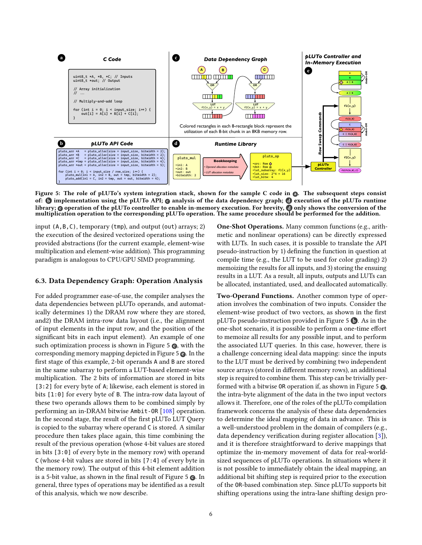<span id="page-5-0"></span>

Figure 5: The role of pLUTo's system integration stack, shown for the sample C code in @. The subsequent steps consist of:  $\odot$  implementation using the pLUTo API;  $\odot$  analysis of the data dependency graph;  $\odot$  execution of the pLUTo runtime library; **o** operation of the pLUTo controller to enable in-memory execution. For brevity, **a** only shows the conversion of the multiplication operation to the corresponding pLUTo operation. The same procedure should be performed for the addition.

input (A,B,C), temporary (tmp), and output (out) arrays; 2) the execution of the desired vectorized operations using the provided abstractions (for the current example, element-wise multiplication and element-wise addition). This programming paradigm is analogous to CPU/GPU SIMD programming.

## 6.3. Data Dependency Graph: Operation Analysis

For added programmer ease-of-use, the compiler analyses the data dependencies between pLUTo operands, and automatically determines 1) the DRAM row where they are stored, and2) the DRAM intra-row data layout (i.e., the alignment of input elements in the input row, and the position of the significant bits in each input element). An example of one such optimization process is shown in Figure  $5 \bullet$ , with the corresponding memory mapping depicted in Figure  $5\Theta$ . In the first stage of this example, 2-bit operands A and B are stored in the same subarray to perform a LUT-based element-wise multiplication. The 2 bits of information are stored in bits [3:2] for every byte of A; likewise, each element is stored in bits [1:0] for every byte of B. The intra-row data layout of these two operands allows them to be combined simply by performing an in-DRAM bitwise Ambit-OR [\[108\]](#page-12-15) operation. In the second stage, the result of the first pLUTo LUT Query is copied to the subarray where operand C is stored. A similar procedure then takes place again, this time combining the result of the previous operation (whose 4-bit values are stored in bits [3:0] of every byte in the memory row) with operand C (whose 4-bit values are stored in bits [7:4] of every byte in the memory row). The output of this 4-bit element addition is a 5-bit value, as shown in the final result of [Figure 5](#page-5-0)  $\odot$ . In general, three types of operations may be identified as a result of this analysis, which we now describe.

One-Shot Operations. Many common functions (e.g., arithmetic and nonlinear operations) can be directly expressed with LUTs. In such cases, it is possible to translate the API pseudo-instruction by 1) defining the function in question at compile time (e.g., the LUT to be used for color grading) 2) memoizing the results for all inputs, and 3) storing the ensuing results in a LUT. As a result, all inputs, outputs and LUTs can be allocated, instantiated, used, and deallocated automatically.

Two-Operand Functions. Another common type of operation involves the combination of two inputs. Consider the element-wise product of two vectors, as shown in the first pLUTo pseudo-instruction provided in [Figure 5](#page-5-0) b . As in the one-shot scenario, it is possible to perform a one-time effort to memoize all results for any possible input, and to perform the associated LUT queries. In this case, however, there is a challenge concerning ideal data mapping: since the inputs to the LUT must be derived by combining two independent source arrays (stored in different memory rows), an additional step is required to combine them. This step can be trivially per-formed with a bitwise OR operation if, as shown in [Figure 5](#page-5-0)  $\odot$ , the intra-byte alignment of the data in the two input vectors allows it. Therefore, one of the roles of the pLUTo compilation framework concerns the analysis of these data dependencies to determine the ideal mapping of data in advance. This is a well-understood problem in the domain of compilers (e.g., data dependency verification during register allocation  $[3]$ ), and it is therefore straightforward to derive mappings that optimize the in-memory movement of data for real-worldsized sequences of pLUTo operations. In situations where it is not possible to immediately obtain the ideal mapping, an additional bit shifting step is required prior to the execution of the OR-based combination step. Since pLUTo supports bit shifting operations using the intra-lane shifting design pro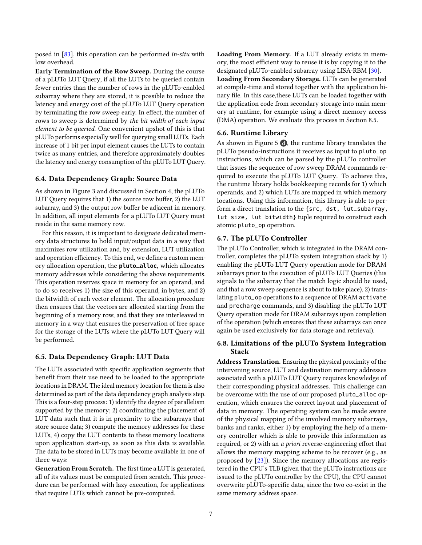posed in [\[83\]](#page-12-13), this operation can be performed *in-situ* with low overhead.

Early Termination of the Row Sweep. During the course of a pLUTo LUT Query, if all the LUTs to be queried contain fewer entries than the number of rows in the pLUTo-enabled subarray where they are stored, it is possible to reduce the latency and energy cost of the pLUTo LUT Query operation by terminating the row sweep early. In effect, the number of rows to sweep is determined by the bit width of each input element to be queried. One convenient upshot of this is that pLUTo performs especially well for querying small LUTs. Each increase of 1 bit per input element causes the LUTs to contain twice as many entries, and therefore approximately doubles the latency and energy consumption of the pLUTo LUT Query.

# 6.4. Data Dependency Graph: Source Data

As shown in [Figure 3](#page-3-0) and discussed in [Section 4,](#page-2-0) the pLUTo LUT Query requires that 1) the source row buffer, 2) the LUT subarray, and 3) the output row buffer be adjacent in memory. In addition, all input elements for a pLUTo LUT Query must reside in the same memory row.

For this reason, it is important to designate dedicated memory data structures to hold input/output data in a way that maximizes row utilization and, by extension, LUT utilization and operation efficiency. To this end, we define a custom memory allocation operation, the **pluto\_alloc**, which allocates memory addresses while considering the above requirements. This operation reserves space in memory for an operand, and to do so receives 1) the size of this operand, in bytes, and 2) the bitwidth of each vector element. The allocation procedure then ensures that the vectors are allocated starting from the beginning of a memory row, and that they are interleaved in memory in a way that ensures the preservation of free space for the storage of the LUTs where the pLUTo LUT Query will be performed.

#### 6.5. Data Dependency Graph: LUT Data

The LUTs associated with specific application segments that benefit from their use need to be loaded to the appropriate locations in DRAM. The ideal memory location for them is also determined as part of the data dependency graph analysis step. This is a four-step process: 1) identify the degree of parallelism supported by the memory; 2) coordinating the placement of LUT data such that it is in proximity to the subarrays that store source data; 3) compute the memory addresses for these LUTs, 4) copy the LUT contents to these memory locations upon application start-up, as soon as this data is available. The data to be stored in LUTs may become available in one of three ways:

Generation From Scratch. The first time a LUT is generated, all of its values must be computed from scratch. This procedure can be performed with lazy execution, for applications that require LUTs which cannot be pre-computed.

Loading From Memory. If a LUT already exists in memory, the most efficient way to reuse it is by copying it to the designated pLUTo-enabled subarray using LISA-RBM [\[30\]](#page-11-12). Loading From Secondary Storage. LUTs can be generated at compile-time and stored together with the application binary file. In this case, these LUTs can be loaded together with the application code from secondary storage into main memory at runtime, for example using a direct memory access (DMA) operation. We evaluate this process in [Section 8.5.](#page-9-0)

#### 6.6. Runtime Library

As shown in [Figure 5](#page-5-0)  $\odot$ , the runtime library translates the pLUTo pseudo-instructions it receives as input to pluto\_op instructions, which can be parsed by the pLUTo controller that issues the sequence of row sweep DRAM commands required to execute the pLUTo LUT Query. To achieve this, the runtime library holds bookkeeping records for 1) which operands, and 2) which LUTs are mapped in which memory locations. Using this information, this library is able to perform a direct translation to the {src, dst, lut\_subarray, lut\_size, lut\_bitwidth} tuple required to construct each atomic pluto\_op operation.

# 6.7. The pLUTo Controller

The pLUTo Controller, which is integrated in the DRAM controller, completes the pLUTo system integration stack by 1) enabling the pLUTo LUT Query operation mode for DRAM subarrays prior to the execution of pLUTo LUT Queries (this signals to the subarray that the match logic should be used, and that a row sweep sequence is about to take place), 2) translating pluto\_op operations to a sequence of DRAM activate and precharge commands, and 3) disabling the pLUTo LUT Query operation mode for DRAM subarrays upon completion of the operation (which ensures that these subarrays can once again be used exclusively for data storage and retrieval).

## 6.8. Limitations of the pLUTo System Integration Stack

Address Translation. Ensuring the physical proximity of the intervening source, LUT and destination memory addresses associated with a pLUTo LUT Query requires knowledge of their corresponding physical addresses. This challenge can be overcome with the use of our proposed pluto\_alloc operation, which ensures the correct layout and placement of data in memory. The operating system can be made aware of the physical mapping of the involved memory subarrays, banks and ranks, either 1) by employing the help of a memory controller which is able to provide this information as required, or 2) with an a priori reverse-engineering effort that allows the memory mapping scheme to be recover (e.g., as proposed by [\[23\]](#page-11-14)). Since the memory allocations are registered in the CPU's TLB (given that the pLUTo instructions are issued to the pLUTo controller by the CPU), the CPU cannot overwrite pLUTo-specific data, since the two co-exist in the same memory address space.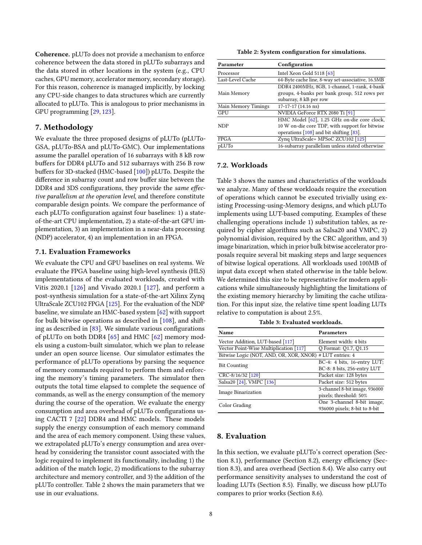Coherence. pLUTo does not provide a mechanism to enforce coherence between the data stored in pLUTo subarrays and the data stored in other locations in the system (e.g., CPU caches, GPU memory, accelerator memory, secondary storage). For this reason, coherence is managed implicitly, by locking any CPU-side changes to data structures which are currently allocated to pLUTo. This is analogous to prior mechanisms in GPU programming [\[29,](#page-11-15) [123\]](#page-13-5).

## 7. Methodology

We evaluate the three proposed designs of pLUTo (pLUTo-GSA, pLUTo-BSA and pLUTo-GMC). Our implementations assume the parallel operation of 16 subarrays with 8 kB row buffers for DDR4 pLUTo and 512 subarrays with 256 B row buffers for 3D-stacked (HMC-based [\[100\]](#page-12-11)) pLUTo. Despite the difference in subarray count and row buffer size between the DDR4 and 3DS configurations, they provide the same effective parallelism at the operation level, and therefore constitute comparable design points. We compare the performance of each pLUTo configuration against four baselines: 1) a stateof-the-art CPU implementation, 2) a state-of-the-art GPU implementation, 3) an implementation in a near-data processing (NDP) accelerator, 4) an implementation in an FPGA.

#### 7.1. Evaluation Frameworks

We evaluate the CPU and GPU baselines on real systems. We evaluate the FPGA baseline using high-level synthesis (HLS) implementations of the evaluated workloads, created with Vitis 2020.1 [\[126\]](#page-13-6) and Vivado 2020.1 [\[127\]](#page-13-7), and perform a post-synthesis simulation for a state-of-the-art Xilinx Zynq UltraScale ZCU102 FPGA [\[125\]](#page-13-4). For the evaluation of the NDP baseline, we simulate an HMC-based system [\[62\]](#page-12-7) with support for bulk bitwise operations as described in  $[108]$ , and shifting as described in  $[83]$ . We simulate various configurations of pLUTo on both DDR4 [\[65\]](#page-12-24) and HMC [\[62\]](#page-12-7) memory models using a custom-built simulator, which we plan to release under an open source license. Our simulator estimates the performance of pLUTo operations by parsing the sequence of memory commands required to perform them and enforcing the memory's timing parameters. The simulator then outputs the total time elapsed to complete the sequence of commands, as well as the energy consumption of the memory during the course of the operation. We evaluate the energy consumption and area overhead of pLUTo configurations using CACTI 7 [\[22\]](#page-11-16) DDR4 and HMC models. These models supply the energy consumption of each memory command and the area of each memory component. Using these values, we extrapolated pLUTo's energy consumption and area overhead by considering the transistor count associated with the logic required to implement its functionality, including 1) the addition of the match logic, 2) modifications to the subarray architecture and memory controller, and 3) the addition of the pLUTo controller. Table [2](#page-7-0) shows the main parameters that we use in our evaluations.

Table 2: System configuration for simulations.

<span id="page-7-0"></span>

| Parameter           | Configuration                                     |  |  |
|---------------------|---------------------------------------------------|--|--|
| Processor           | Intel Xeon Gold 5118 [63]                         |  |  |
| Last-Level Cache    | 64-Byte cache line, 8-way set-associative, 16.5MB |  |  |
|                     | DDR4 2400MHz, 8GB, 1-channel, 1-rank, 4-bank      |  |  |
| Main Memory         | groups, 4-banks per bank group, 512 rows per      |  |  |
|                     | subarray, 8 kB per row                            |  |  |
| Main Memory Timings | 17-17-17 (14.16 ns)                               |  |  |
| GPU                 | NVIDIA GeForce RTX 2080 Ti [91]                   |  |  |
|                     | HMC Model [62], 1.25 GHz on-die core clock,       |  |  |
| <b>NDP</b>          | 10 W on-die core TDP, with support for bitwise    |  |  |
|                     | operations $[108]$ and bit shifting $[83]$ .      |  |  |
| <b>FPGA</b>         | Zyng UltraScale+ MPSoC ZCU102 [125]               |  |  |
| pLUTo               | 16-subarray parallelism unless stated otherwise   |  |  |

#### 7.2. Workloads

[Table 3](#page-7-1) shows the names and characteristics of the workloads we analyze. Many of these workloads require the execution of operations which cannot be executed trivially using existing Processing-using-Memory designs, and which pLUTo implements using LUT-based computing. Examples of these challenging operations include 1) substitution tables, as required by cipher algorithms such as Salsa20 and VMPC, 2) polynomial division, required by the CRC algorithm, and 3) image binarization, which in prior bulk bitwise accelerator proposals require several bit masking steps and large sequences of bitwise logical operations. All workloads used 100MB of input data except when stated otherwise in the table below. We determined this size to be representative for modern applications while simultaneously highlighting the limitations of the existing memory hierarchy by limiting the cache utilization. For this input size, the relative time spent loading LUTs relative to computation is about 2.5%.

Table 3: Evaluated workloads.

<span id="page-7-1"></span>

| Name                                                     | <b>Parameters</b>             |  |  |
|----------------------------------------------------------|-------------------------------|--|--|
| Vector Addition, LUT-based [117]                         | Element width: 4 bits         |  |  |
| Vector Point-Wise Multiplication [117]                   | Q Format: Q1.7, Q1.15         |  |  |
| Bitwise Logic (NOT, AND, OR, XOR, XNOR) # LUT entries: 4 |                               |  |  |
| <b>Bit Counting</b>                                      | BC-4: 4 bits, 16-entry LUT;   |  |  |
|                                                          | BC-8: 8 bits, 256-entry LUT   |  |  |
| CRC-8/16/32 [120]                                        | Packet size: 128 bytes        |  |  |
| Salsa20 [24], VMPC [136]                                 | Packet size: 512 bytes        |  |  |
|                                                          | 3-channel 8-bit image, 936000 |  |  |
| <b>Image Binarization</b>                                | pixels; threshold: 50%        |  |  |
| Color Grading                                            | One 3-channel 8-bit image,    |  |  |
|                                                          | 936000 pixels; 8-bit to 8-bit |  |  |

## <span id="page-7-2"></span>8. Evaluation

In this section, we evaluate pLUTo's correct operation [\(Sec](#page-8-0)[tion 8.1\)](#page-8-0), performance [\(Section 8.2\)](#page-8-1), energy efficiency [\(Sec](#page-8-2)[tion 8.3\)](#page-8-2), and area overhead [\(Section 8.4\)](#page-8-3). We also carry out performance sensitivity analyses to understand the cost of loading LUTs [\(Section 8.5\)](#page-9-0). Finally, we discuss how pLUTo compares to prior works [\(Section 8.6\)](#page-9-1).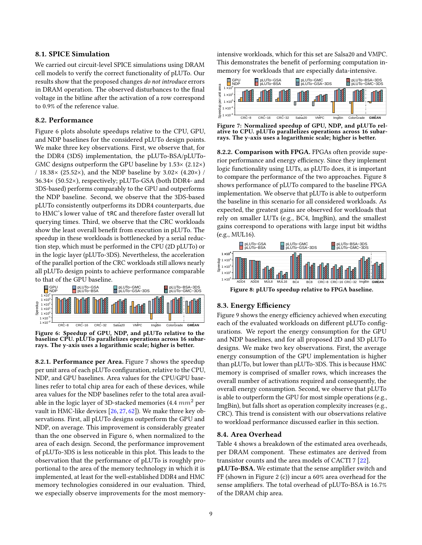## <span id="page-8-0"></span>8.1. SPICE Simulation

We carried out circuit-level SPICE simulations using DRAM cell models to verify the correct functionality of pLUTo. Our results show that the proposed changes do not introduce errors in DRAM operation. The observed disturbances to the final voltage in the bitline after the activation of a row correspond to 0.9% of the reference value.

#### <span id="page-8-1"></span>8.2. Performance

[Figure 6](#page-8-4) plots absolute speedups relative to the CPU, GPU, and NDP baselines for the considered pLUTo design points. We make three key observations. First, we observe that, for the DDR4 (3DS) implementation, the pLUTo-BSA/pLUTo-GMC designs outperform the GPU baseline by 1.53× (2.12×) / 18.38 $\times$  (25.52 $\times$ ), and the NDP baseline by 3.02 $\times$  (4.20 $\times$ ) / 36.34× (50.52×), respectively; pLUTo-GSA (both DDR4- and 3DS-based) performs comparably to the GPU and outperforms the NDP baseline. Second, we observe that the 3DS-based pLUTo consistently outperforms its DDR4 counterparts, due to HMC's lower value of tRC and therefore faster overall lut querying times. Third, we observe that the CRC workloads show the least overall benefit from execution in pLUTo. The speedup in these workloads is bottlenecked by a serial reduction step, which must be performed in the CPU (2D pLUTo) or in the logic layer (pLUTo-3DS). Nevertheless, the acceleration of the parallel portion of the CRC workloads still allows nearly all pLUTo design points to achieve performance comparable to that of the GPU baseline.

<span id="page-8-4"></span>

Figure 6: Speedup of GPU, NDP, and pLUTo relative to the baseline CPU. pLUTo parallelizes operations across 16 subarrays. The y-axis uses a logarithmic scale; higher is better.

8.2.1. Performance per Area. [Figure 7](#page-8-5) shows the speedup per unit area of each pLUTo configuration, relative to the CPU, NDP, and GPU baselines. Area values for the CPU/GPU baselines refer to total chip area for each of these devices, while area values for the NDP baselines refer to the total area available in the logic layer of 3D-stacked memories (4.4 *mm*<sup>2</sup> per vault in HMC-like devices [\[26,](#page-11-2) [27,](#page-11-18) [62\]](#page-12-7)). We make three key observations. First, all pLUTo designs outperform the GPU and NDP, on average. This improvement is considerably greater than the one observed in [Figure 6,](#page-8-4) when normalized to the area of each design. Second, the performance improvement of pLUTo-3DS is less noticeable in this plot. This leads to the observation that the performance of pLUTo is roughly proportional to the area of the memory technology in which it is implemented, at least for the well-established DDR4 and HMC memory technologies considered in our evaluation. Third, we especially observe improvements for the most memoryintensive workloads, which for this set are Salsa20 and VMPC. This demonstrates the benefit of performing computation inmemory for workloads that are especially data-intensive.

<span id="page-8-5"></span>

Figure 7: Normalized speedup of GPU, NDP, and pLUTo relative to CPU. pLUTo parallelizes operations across 16 subarrays. The y-axis uses a logarithmic scale; higher is better.

8.2.2. Comparison with FPGA. FPGAs often provide superior performance and energy efficiency. Since they implement logic functionality using LUTs, as pLUTo does, it is important to compare the performance of the two approaches. Figure [8](#page-8-6) shows performance of pLUTo compared to the baseline FPGA implementation. We observe that pLUTo is able to outperform the baseline in this scenario for all considered workloads. As expected, the greatest gains are observed for workloads that rely on smaller LUTs (e.g., BC4, ImgBin), and the smallest gains correspond to operations with large input bit widths (e.g., MUL16).

<span id="page-8-6"></span>

Figure 8: pLUTo speedup relative to FPGA baseline.

# <span id="page-8-2"></span>8.3. Energy Efficiency

Figure [9](#page-9-2) shows the energy efficiency achieved when executing each of the evaluated workloads on different pLUTo configurations. We report the energy consumption for the GPU and NDP baselines, and for all proposed 2D and 3D pLUTo designs. We make two key observations. First, the average energy consumption of the GPU implementation is higher than pLUTo, but lower than pLUTo-3DS. This is because HMC memory is comprised of smaller rows, which increases the overall number of activations required and consequently, the overall energy consumption. Second, we observe that pLUTo is able to outperform the GPU for most simple operations (e.g., ImgBin), but falls short as operation complexity increases (e.g., CRC). This trend is consistent with our observations relative to workload performance discussed earlier in this section.

#### <span id="page-8-3"></span>8.4. Area Overhead

[Table 4](#page-9-3) shows a breakdown of the estimated area overheads, per DRAM component. These estimates are derived from transistor counts and the area models of CACTI 7 [\[22\]](#page-11-16).

pLUTo-BSA. We estimate that the sense amplifier switch and FF (shown in [Figure 2](#page-2-0) (c)) incur a 60% area overhead for the sense amplifiers. The total overhead of pLUTo-BSA is 16.7% of the DRAM chip area.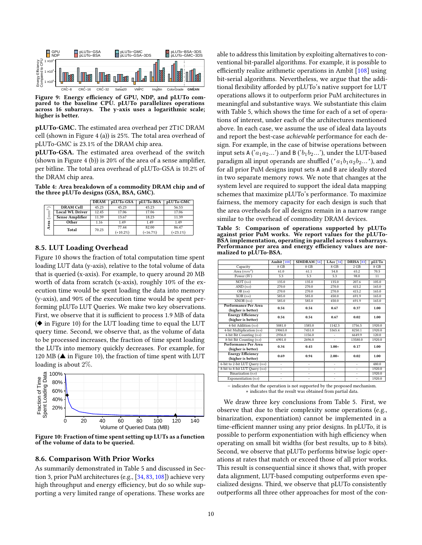<span id="page-9-2"></span>

Figure 9: Energy efficiency of GPU, NDP, and pLUTo compared to the baseline CPU. pLUTo parallelizes operations across 16 subarrays. The y-axis uses a logarithmic scale; higher is better.

pLUTo-GMC. The estimated area overhead per 2T1C DRAM cell (shown in [Figure 4](#page-4-0) (a)) is 25%. The total area overhead of pLUTo-GMC is 23.1% of the DRAM chip area.

pLUTo-GSA. The estimated area overhead of the switch (shown in [Figure 4](#page-4-0) (b)) is  $20\%$  of the area of a sense amplifier, per bitline. The total area overhead of pLUTo-GSA is 10.2% of the DRAM chip area.

<span id="page-9-3"></span>Table 4: Area breakdown of a commodity DRAM chip and of the three pLUTo designs (GSA, BSA, GMC).

|               |                        | <b>DRAM</b> | pLUTo-GSA   | pLUTo-BSA  | pLUTo-GMC   |  |
|---------------|------------------------|-------------|-------------|------------|-------------|--|
| $\widehat{z}$ | <b>DRAM Cell</b>       | 45.23       | 45.23       | 45.23      | 56.53       |  |
| mm)<br>Area   | <b>Local WL Driver</b> | 12.45       | 17.06       | 17.06      | 17.06       |  |
|               | <b>Sense Amplifier</b> | 11.39       | 13.67       | 18.23      | 11.39       |  |
|               | Other                  | 1.16        | 1.49        | 1.49       | 1.49        |  |
|               | Total                  | 70.23       | 77.44       | 82.00      | 86.47       |  |
|               |                        |             | $(+10.2\%)$ | $(+16.7%)$ | $(+23.1\%)$ |  |

#### <span id="page-9-0"></span>8.5. LUT Loading Overhead

[Figure 10](#page-9-4) shows the fraction of total computation time spent loading LUT data (y-axis), relative to the total volume of data that is queried (x-axis). For example, to query around 20 MB worth of data from scratch (x-axis), roughly 10% of the execution time would be spent loading the data into memory (y-axis), and 90% of the execution time would be spent performing pLUTo LUT Queries. We make two key observations. First, we observe that it is sufficient to process 1.9 MB of data  $(\blacklozenge$  in [Figure 10\)](#page-9-4) for the LUT loading time to equal the LUT query time. Second, we observe that, as the volume of data to be processed increases, the fraction of time spent loading the LUTs into memory quickly decreases. For example, for 120 MB ( $\triangle$  in [Figure 10\)](#page-9-4), the fraction of time spent with LUT loading is about 2%.

<span id="page-9-4"></span>

Figure 10: Fraction of time spent setting up LUTs as a function of the volume of data to be queried.

#### <span id="page-9-1"></span>8.6. Comparison With Prior Works

As summarily demonstrated in [Table 5](#page-9-5) and discussed in [Sec](#page-2-3)[tion 3,](#page-2-3) prior PuM architectures (e.g., [\[34,](#page-11-10) [83,](#page-12-13) [108\]](#page-12-15)) achieve very high throughput and energy efficiency, but do so while supporting a very limited range of operations. These works are

able to address this limitation by exploiting alternatives to conventional bit-parallel algorithms. For example, it is possible to efficiently realize arithmetic operations in Ambit  $[108]$  using bit-serial algorithms. Nevertheless, we argue that the additional flexibility afforded by pLUTo's native support for LUT operations allows it to outperform prior PuM architectures in meaningful and substantive ways. We substantiate this claim with [Table 5,](#page-9-5) which shows the time for each of a set of operations of interest, under each of the architectures mentioned above. In each case, we assume the use of ideal data layouts and report the best-case achievable performance for each design. For example, in the case of bitwise operations between input sets A  $(a_1a_2...')$  and B  $(b_1b_2...')$ , under the LUT-based paradigm all input operands are shuffled ( $'a_1b_1a_2b_2...$ ), and for all prior PuM designs input sets A and B are ideally stored in two separate memory rows. We note that changes at the system level are required to support the ideal data mapping schemes that maximize pLUTo's performance. To maximize fairness, the memory capacity for each design is such that the area overheads for all designs remain in a narrow range similar to the overhead of commodity DRAM devices.

<span id="page-9-5"></span>Table 5: Comparison of operations supported by pLUTo against prior PuM works. We report values for the pLUTo-BSA implementation, operating in parallel across 4 subarrays. Performance per area and energy efficiency values are normalized to pLUTo-BSA.

|                                                | <b>Ambit</b> [108]       | SIMDRAM <sup>[54]</sup> | LAcc $[34]$              | <b>DRISA</b> [83] | pLUTo  |
|------------------------------------------------|--------------------------|-------------------------|--------------------------|-------------------|--------|
| Capacity                                       | 8 GB                     | 8 GB                    | 8 GB                     | 2 GB              | 8 GB   |
| Area $(mm^2)$                                  | 61.0                     | 61.1                    | 54.8                     | 65.2              | 70.5   |
| Power $(W)$                                    | 5.3                      | 5.3                     | 5.3                      | 98.0              | 11     |
| $\overline{\text{NOT}(ns)}$                    | 135.0                    | 135.0                   | 135.0                    | 207.6             | 105.0  |
| AND $(ns)$                                     | 270.0                    | 270.0                   | 270.0                    | 415.2             | 165.0  |
| OR(ns)                                         | 270.0                    | 270.0                   | 270.0                    | 415.2             | 165.0  |
| XOR(ns)                                        | 585.0                    | 585.0                   | 450.0                    | 691.9             | 165.0  |
| XNOR(ns)                                       | 585.0                    | 585.0                   | 450.0                    | 691.9             | 165.0  |
| Performance Per Area<br>(higher is better)     | 0.54                     | 0.54                    | 0.67                     | 0.37              | 1.00   |
| <b>Energy Efficiency</b><br>(higher is better) | 0.54                     | 0.54                    | 0.67                     | 0.02              | 1.00   |
| 4-bit Addition (ns)                            | 5081.0                   | 1585.0                  | 1142.3                   | 1756.5            | 1920.0 |
| 4-bit Multiplication $(ns)$                    | 19065.0                  | 7451.0                  | 5365.4                   | 8250.1            | 1920.0 |
| 4-bit Bit Counting (ns)                        | 2936.0                   | 1156.0                  | $\overline{a}$           | 6649.9            | 120.0  |
| 8-bit Bit Counting (ns)                        | 6901.0                   | 2696.0                  | $\overline{a}$           | 13580.0           | 1920.0 |
| Performance Per Area<br>(higher is better)     | 0.34                     | 0.45                    | $1.00*$                  | 0.17              | 1.00   |
| <b>Energy Efficiency</b><br>(higher is better) | 0.69                     | 0.94                    | $2.00*$                  | 0.02              | 1.00   |
| 6-bit to 2-bit LUT Query (ns)                  | $\overline{a}$           | ٠                       | $\overline{a}$           | ÷                 | 480.0  |
| 8-bit to 8-bit LUT Query (ns)                  | $\overline{\phantom{0}}$ | ٠                       | $\overline{\phantom{0}}$ | ٠                 | 1920.0 |
| Binarization $(ns)$                            | $\overline{a}$           | $\overline{a}$          | $\overline{\phantom{0}}$ | $\overline{a}$    | 1920.0 |
| Exponentiation $(ns)$                          | $\overline{a}$           |                         | $\overline{\phantom{0}}$ | -                 | 1920.0 |

− indicates that the operation is not supported by the proposed mechanism. ∗ indicates that the result was obtained from partial data.

We draw three key conclusions from [Table 5.](#page-9-5) First, we observe that due to their complexity some operations (e.g., binarization, exponentiation) cannot be implemented in a time-efficient manner using any prior designs. In pLUTo, it is possible to perform exponentiation with high efficiency when operating on small bit widths (for best results, up to 8 bits). Second, we observe that pLUTo performs bitwise logic operations at rates that match or exceed those of all prior works. This result is consequential since it shows that, with proper data alignment, LUT-based computing outperforms even specialized designs. Third, we observe that pLUTo consistently outperforms all three other approaches for most of the con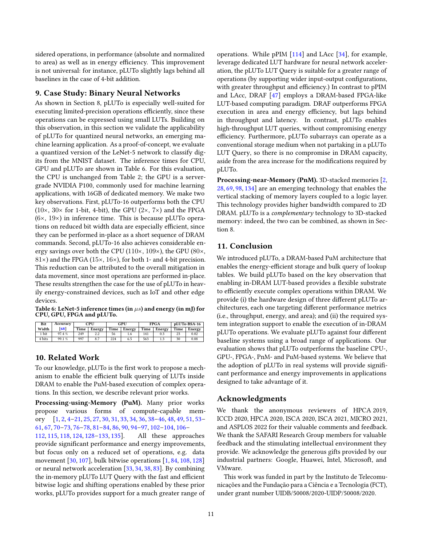sidered operations, in performance (absolute and normalized to area) as well as in energy efficiency. This improvement is not universal: for instance, pLUTo slightly lags behind all baselines in the case of 4-bit addition.

## 9. Case Study: Binary Neural Networks

As shown in [Section 8,](#page-7-2) pLUTo is especially well-suited for executing limited-precision operations efficiently, since these operations can be expressed using small LUTs. Building on this observation, in this section we validate the applicability of pLUTo for quantized neural networks, an emerging machine learning application. As a proof-of-concept, we evaluate a quantized version of the LeNet-5 network to classify digits from the MNIST dataset. The inference times for CPU, GPU and pLUTo are shown in [Table 6.](#page-10-0) For this evaluation, the CPU is unchanged from [Table 2;](#page-7-0) the GPU is a servergrade NVIDIA P100, commonly used for machine learning applications, with 16GB of dedicated memory. We make two key observations. First, pLUTo-16 outperforms both the CPU  $(10\times, 30\times$  for 1-bit, 4-bit), the GPU  $(2\times, 7\times)$  and the FPGA  $(6\times, 19\times)$  in inference time. This is because pLUTo operations on reduced bit width data are especially efficient, since they can be performed in-place as a short sequence of DRAM commands. Second, pLUTo-16 also achieves considerable energy savings over both the CPU (110×, 109×), the GPU (80×,  $81\times$ ) and the FPGA (15 $\times$ , 16 $\times$ ), for both 1- and 4-bit precision. This reduction can be attributed to the overall mitigation in data movement, since most operations are performed in-place. These results strengthen the case for the use of pLUTo in heavily energy-constrained devices, such as IoT and other edge devices.

<span id="page-10-0"></span>Table 6: LeNet-5 inference times (in *µs*) and energy (in mJ) for CPU, GPU, FPGA and pLUTo.

| Bit    | Accuracv | CPU  |        | GPU  |        | <b>FPGA</b> |        | pLUTo-BSA-16 |               |
|--------|----------|------|--------|------|--------|-------------|--------|--------------|---------------|
| Width  | 68       | Time | Energy | Time | Energy | Time        | Energy |              | Time   Energy |
| . bit  | 97.4%    | 249  | 2.2    | 56   | 1.0    | 141         | 0.3    | 23           | 0.02          |
| 4 bits | 99.1 %   | 997  |        | 224  | 6.5    | 563         |        | 30           | 0.08          |

## 10. Related Work

To our knowledge, pLUTo is the first work to propose a mechanism to enable the efficient bulk querying of LUTs inside DRAM to enable the PuM-based execution of complex operations. In this section, we describe relevant prior works.

Processing-using-Memory (PuM). Many prior works propose various forms of compute-capable memory [\[1,](#page-11-19) [2,](#page-11-20) [4](#page-11-21)[–21,](#page-11-22) [25,](#page-11-23) [27,](#page-11-18) [30,](#page-11-12) [31,](#page-11-24) [33,](#page-11-5) [34,](#page-11-10) [36,](#page-11-25) [38–](#page-11-26)[46,](#page-11-6) [48,](#page-11-0) [49,](#page-11-27) [51,](#page-11-28) [53–](#page-11-29) [61,](#page-12-27) [67,](#page-12-28) [70](#page-12-19)[–73,](#page-12-29) [76–](#page-12-30)[78,](#page-12-31) [81–](#page-12-32)[84,](#page-12-33) [86,](#page-12-34) [90,](#page-12-35) [94–](#page-12-36)[97,](#page-12-37) [102–](#page-12-38)[104,](#page-12-39) [106–](#page-12-14) [112,](#page-12-40) [115,](#page-13-11) [118,](#page-13-12) [124,](#page-13-13) [128](#page-13-14)[–133,](#page-13-15) [135\]](#page-13-16). All these approaches provide significant performance and energy improvements, but focus only on a reduced set of operations, e.g. data movement [\[30,](#page-11-12) [107\]](#page-12-41), bulk bitwise operations [\[1,](#page-11-19) [84,](#page-12-33) [108,](#page-12-15) [128\]](#page-13-14) or neural network acceleration [\[33,](#page-11-5) [34,](#page-11-10) [38,](#page-11-26) [83\]](#page-12-13). By combining the in-memory pLUTo LUT Query with the fast and efficient bitwise logic and shifting operations enabled by these prior works, pLUTo provides support for a much greater range of operations. While pPIM [\[114\]](#page-12-18) and LAcc [\[34\]](#page-11-10), for example, leverage dedicated LUT hardware for neural network acceleration, the pLUTo LUT Query is suitable for a greater range of operations (by supporting wider input-output configurations, with greater throughput and efficiency.) In contrast to pPIM and LAcc, DRAF [\[47\]](#page-11-11) employs a DRAM-based FPGA-like LUT-based computing paradigm. DRAF outperforms FPGA execution in area and energy efficiency, but lags behind in throughput and latency. In contrast, pLUTo enables high-throughput LUT queries, without compromising energy efficiency. Furthermore, pLUTo subarrays can operate as a conventional storage medium when not partaking in a pLUTo LUT Query, so there is no compromise in DRAM capacity, aside from the area increase for the modifications required by pLUTo.

Processing-near-Memory (PnM). 3D-stacked memories [\[2,](#page-11-20) [28,](#page-11-30) [69,](#page-12-42) [98,](#page-12-43) [134\]](#page-13-17) are an emerging technology that enables the vertical stacking of memory layers coupled to a logic layer. This technology provides higher bandwidth compared to 2D DRAM. pLUTo is a complementary technology to 3D-stacked memory: indeed, the two can be combined, as shown in [Sec](#page-7-2)[tion 8.](#page-7-2)

# 11. Conclusion

We introduced pLUTo, a DRAM-based PuM architecture that enables the energy-efficient storage and bulk query of lookup tables. We build pLUTo based on the key observation that enabling in-DRAM LUT-based provides a flexible substrate to efficiently execute complex operations within DRAM. We provide (i) the hardware design of three different pLUTo architectures, each one targeting different performance metrics (i.e., throughput, energy, and area); and (ii) the required system integration support to enable the execution of in-DRAM pLUTo operations. We evaluate pLUTo against four different baseline systems using a broad range of applications. Our evaluation shows that pLUTo outperforms the baseline CPU-, GPU-, FPGA-, PnM- and PuM-based systems. We believe that the adoption of pLUTo in real systems will provide significant performance and energy improvements in applications designed to take advantage of it.

## Acknowledgments

We thank the anonymous reviewers of HPCA 2019, ICCD 2020, HPCA 2020, ISCA 2020, ISCA 2021, MICRO 2021, and ASPLOS 2022 for their valuable comments and feedback. We thank the SAFARI Research Group members for valuable feedback and the stimulating intellectual environment they provide. We acknowledge the generous gifts provided by our industrial partners: Google, Huawei, Intel, Microsoft, and VMware.

This work was funded in part by the Instituto de Telecomunicações and the Fundação para a Ciência e a Tecnologia (FCT), under grant number UIDB/50008/2020-UIDP/50008/2020.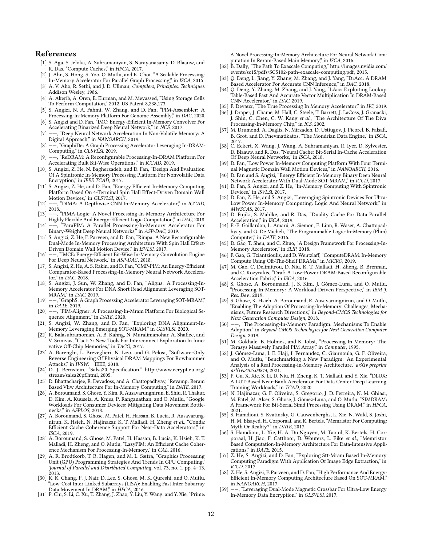#### References

- <span id="page-11-19"></span>[1] S. Aga, S. Jeloka, A. Subramaniyan, S. Narayanasamy, D. Blaauw, and R. Das, "Compute Caches," in HPCA, 2017.
- <span id="page-11-20"></span>[2] J. Ahn, S. Hong, S. Yoo, O. Mutlu, and K. Choi, "A Scalable Processing-In-Memory Accelerator For Parallel Graph Processing," in ISCA, 2015.
- <span id="page-11-13"></span>[3] A. V. Aho, R. Sethi, and J. D. Ullman, Compilers, Principles, Techniques. Addison Wesley, 1986.
- <span id="page-11-21"></span>[4] A. Akerib, A. Oren, E. Ehrman, and M. Meyassed, "Using Storage Cells To Perform Computation," 2012, US Patent 8,238,173.
- [5] S. Angizi, N. A. Fahmi, W. Zhang, and D. Fan, "PIM-Assembler: A Processing-In-Memory Platform For Genome Assembly," in DAC, 2020.
- [6] S. Angizi and D. Fan, "IMC: Energy-Efficient In-Memory Convolver For Accelerating Binarized Deep Neural Network," in NCS, 2017.
- [7] ——, "Deep Neural Network Acceleration In Non-Volatile Memory: A Digital Approach," in NANOARCH, 2019.
- [8] ——, "GraphiDe: A Graph Processing Accelerator Leveraging In-DRAM-Computing," in GLSVLSI, 2019.
- [9] --, "ReDRAM: A Reconfigurable Processing-In-DRAM Platform For Accelerating Bulk Bit-Wise Operations," in ICCAD, 2019.
- [10] S. Angizi, Z. He, N. Bagherzadeh, and D. Fan, "Design And Evaluation Of A Spintronic In-Memory Processing Platform For Nonvolatile Data Encryption," in *IEEE TCAD*, 2017.
- [11] S. Angizi, Z. He, and D. Fan, "Energy Efficient In-Memory Computing Platform Based On 4-Terminal Spin Hall Effect-Driven Domain Wall Motion Devices," in GLSVLSI, 2017.
- [12] --, "DIMA: A Depthwise CNN In-Memory Accelerator," in ICCAD, 2018.
- [13] ——, "PIMA-Logic: A Novel Processing-In-Memory Architecture For Highly Flexible And Energy-Efficient Logic Computation," in DAC, 2018.
- [14] ——, "ParaPIM: A Parallel Processing-In-Memory Accelerator For Binary-Weight Deep Neural Networks," in ASP-DAC, 2019.
- [15] S. Angizi, Z. He, F. Parveen, and D. Fan, "Rimpa: A New Reconfigurable Dual-Mode In-Memory Processing Architecture With Spin Hall Effect-Driven Domain Wall Motion Device," in ISVLSI, 2017.
- [16] --, "IMCE: Energy-Efficient Bit-Wise In-Memory Convolution Engine For Deep Neural Network," in ASP-DAC, 2018.
- [17] S. Angizi, Z. He, A. S. Rakin, and D. Fan, "CMP-PIM: An Energy-Efficient Comparator-Based Processing-In-Memory Neural Network Accelerator," in DAC, 2018.
- [18] S. Angizi, J. Sun, W. Zhang, and D. Fan, "Aligns: A Processing-In-Memory Accelerator For DNA Short Read Alignment Leveraging SOT-MRAM," in DAC, 2019.
- [19] ——, "GraphS: A Graph Processing Accelerator Leveraging SOT-MRAM,"  $\frac{1}{20}$  in *DATE*, 2019.
- -, "PIM-Aligner: A Processing-In-Mram Platform For Biological Sequence Alignment," in DATE, 2020.
- <span id="page-11-22"></span>[21] S. Angizi, W. Zhang, and D. Fan, "Exploring DNA Alignment-In-Memory Leveraging Emerging SOT-MRAM," in GLSVLSI, 2020.
- <span id="page-11-16"></span>[22] R. Balasubramonian, A. B. Kahng, N. Muralimanohar, A. Shafiee, and V. Srinivas, "Cacti 7: New Tools For Interconnect Exploration In Innovative Off-Chip Memories," in TACO, 2017.
- <span id="page-11-14"></span>[23] A. Barenghi, L. Breveglieri, N. Izzo, and G. Pelosi, "Software-Only Reverse Engineering Of Physical DRAM Mappings For Rowhammer
- <span id="page-11-17"></span>Attacks," in IVSW. IEEE, 2018.<br>[24] D. J. Bernstein, "Salsa20 Specification," [http://www.ecrypt.eu.org/](http://www.ecrypt.eu.org/stream/salsa20pf.html) [stream/salsa20pf.html,](http://www.ecrypt.eu.org/stream/salsa20pf.html) 2005.
- <span id="page-11-23"></span>[25] D. Bhattacharjee, R. Devadoss, and A. Chattopadhyay, "Revamp: Reram Based Vliw Architecture For In-Memory Computing," in DATE, 2017.
- <span id="page-11-2"></span>[26] A. Boroumand, S. Ghose, Y. Kim, R. Ausavarungnirun, E. Shiu, R. Thakur, D. Kim, A. Kuusela, A. Knies, P. Ranganathan, and O. Mutlu, "Google Workloads For Consumer Devices: Mitigating Data Movement Bottlenecks," in ASPLOS, 2018.
- <span id="page-11-18"></span>[27] A. Boroumand, S. Ghose, M. Patel, H. Hassan, B. Lucia, R. Ausavarungnirun, K. Hsieh, N. Hajinazar, K. T. Malladi, H. Zheng et al., "Conda: Efficient Cache Coherence Support For Near-Data Accelerators," in ISCA, 2019.
- <span id="page-11-30"></span>[28] A. Boroumand, S. Ghose, M. Patel, H. Hassan, B. Lucia, K. Hsieh, K. T. Malladi, H. Zheng, and O. Mutlu, "LazyPIM: An Efficient Cache Coherence Mechanism For Processing-In-Memory," in CAL, 2016.
- <span id="page-11-15"></span>[29] A. R. Brodtkorb, T. R. Hagen, and M. L. Sætra, "Graphics Processing Unit (GPU) Programming Strategies And Trends In GPU Computing," Journal of Parallel and Distributed Computing, vol. 73, no. 1, pp. 4–13, 2013.
- <span id="page-11-12"></span>[30] K. K. Chang, P. J. Nair, D. Lee, S. Ghose, M. K. Qureshi, and O. Mutlu, "Low-Cost Inter-Linked Subarrays (LISA): Enabling Fast Inter-Subarray
- <span id="page-11-24"></span>Data Movement In DRAM," in HPCA, 2016. [31] P. Chi, S. Li, C. Xu, T. Zhang, J. Zhao, Y. Liu, Y. Wang, and Y. Xie, "Prime:

A Novel Processing-In-Memory Architecture For Neural Network Computation In Reram-Based Main Memory," in ISCA, 2016.

- <span id="page-11-3"></span>[32] B. Dally, "The Path To Exascale Computing," [http://images.nvidia.com/](http://images.nvidia.com/events/sc15/pdfs/SC5102-path-exascale-computing.pdf) [events/sc15/pdfs/SC5102-path-exascale-computing.pdf,](http://images.nvidia.com/events/sc15/pdfs/SC5102-path-exascale-computing.pdf) 2015.
- <span id="page-11-5"></span>[33] Q. Deng, L. Jiang, Y. Zhang, M. Zhang, and J. Yang, "DrAcc: A DRAM Based Accelerator For Accurate CNN Inference," in DAC, 2018.
- <span id="page-11-10"></span>[34] Q. Deng, Y. Zhang, M. Zhang, and J. Yang, "LAcc: Exploiting Lookup Table-Based Fast And Accurate Vector Multiplication In DRAM-Based CNN Accelerator," in DAC, 2019.
- <span id="page-11-4"></span>[35] F. Devaux, "The True Processing In Memory Accelerator," in HC, 2019.
- <span id="page-11-25"></span>[36] J. Draper, J. Chame, M. Hall, C. Steele, T. Barrett, J. LaCoss, J. Granacki, J. Shin, C. Chen, C. W. Kang et al., "The Architecture Of The Diva Processing-In-Memory Chip," in ICS, 2002.
- <span id="page-11-9"></span>[37] M. Drumond, A. Daglis, N. Mirzadeh, D. Ustiugov, J. Picorel, B. Falsafi, B. Grot, and D. Pnevmatikatos, "The Mondrian Data Engine," in ISCA,
- <span id="page-11-26"></span>2017. [38] C. Eckert, X. Wang, J. Wang, A. Subramaniyan, R. Iyer, D. Sylvester, D. Blaauw, and R. Das, "Neural Cache: Bit-Serial In-Cache Acceleration Of Deep Neural Networks," in ISCA, 2018.
- [39] D. Fan, "Low Power In-Memory Computing Platform With Four Terminal Magnetic Domain Wall Motion Devices," in NANOARCH, 2016.
- [40] D. Fan and S. Angizi, "Energy Efficient In-Memory Binary Deep Neural Network Accelerator With Dual-Mode SOT-MRAM," in ICCD, 2017.
- [41] D. Fan, S. Angizi, and Z. He, "In-Memory Computing With Spintronic Devices," in ISVLSI, 2017.
- [42] D. Fan, Z. He, and S. Angizi, "Leveraging Spintronic Devices For Ultra-Low Power In-Memory Computing: Logic And Neural Network," in MWSCAS, 2017.
- [43] D. Fujiki, S. Mahlke, and R. Das, "Duality Cache For Data Parallel Acceleration," in ISCA, 2019.
- [44] P.-E. Gaillardon, L. Amarú, A. Siemon, E. Linn, R. Waser, A. Chattopadhyay, and G. De Micheli, "The Programmable Logic-In-Memory (Plim) Computer," in DATE, 2016.
- [45] D. Gao, T. Shen, and C. Zhuo, "A Design Framework For Processing-In-Memory Accelerator," in SLIP, 2018.
- <span id="page-11-6"></span>[46] F. Gao, G. Tziantzioulis, and D. Wentzlaff, "ComputeDRAM: In-Memory Compute Using Off-The-Shelf DRAMs," in MICRO, 2019.
- <span id="page-11-11"></span>[47] M. Gao, C. Delimitrou, D. Niu, K. T. Malladi, H. Zheng, B. Brennan, and C. Kozyrakis, "Draf: A Low-Power DRAM-Based Reconfigurable Acceleration Fabric," in ISCA, 2016.
- <span id="page-11-0"></span>[48] S. Ghose, A. Boroumand, J. S. Kim, J. Gómez-Luna, and O. Mutlu, "Processing-In-Memory: A Workload-Driven Perspective," in IBM J. Res. Dev., 2019.
- <span id="page-11-27"></span>[49] S. Ghose, K. Hsieh, A. Boroumand, R. Ausavarungnirun, and O. Mutlu, "Enabling The Adoption Of Processing-In-Memory: Challenges, Mechanisms, Future Research Directions," in Beyond-CMOS Technologies for Next Generation Computer Design, 2018.
- <span id="page-11-1"></span>[50] ——, "The Processing-In-Memory Paradigm: Mechanisms To Enable Adoption," in Beyond-CMOS Technologies for Next Generation Computer Design, 2019.
- <span id="page-11-28"></span>[51] M. Gokhale, B. Holmes, and K. Iobst, "Processing In Memory: The Terasys Massively Parallel PIM Array," in Computer, 1995.
- <span id="page-11-8"></span>[52] J. Gómez-Luna, I. E. Hajj, I. Fernandez, C. Giannoula, G. F. Oliveira, and O. Mutlu, "Benchmarking a New Paradigm: An Experimental Analysis of a Real Processing-in-Memory Architecture," arXiv preprint arXiv:2105.03814, 2021.
- <span id="page-11-29"></span>[53] P. Gu, X. Xie, S. Li, D. Niu, H. Zheng, K. T. Malladi, and Y. Xie, "DLUX: A LUT-Based Near-Bank Accelerator For Data Center Deep Learning Training Workloads," in TCAD, 2020.
- <span id="page-11-7"></span>[54] N. Hajinazar, G. F. Oliveira, S. Gregorio, J. D. Ferreira, N. M. Ghiasi, M. Patel, M. Alser, S. Ghose, J. Gómez-Luna, and O. Mutlu, "SIMDRAM: A Framework For Bit-Serial Simd Processing Using DRAM," in HPCA, 2021.
- [55] S. Hamdioui, S. Kvatinsky, G. Cauwenberghs, L. Xie, N. Wald, S. Joshi, H. M. Elsayed, H. Corporaal, and K. Bertels, "Memristor For Computing: Myth Or Reality?" in DATE, 2017.
- [56] S. Hamdioui, L. Xie, H. A. Du Nguyen, M. Taouil, K. Bertels, H. Corporaal, H. Jiao, F. Catthoor, D. Wouters, L. Eike et al., "Memristor Based Computation-In-Memory Architecture For Data-Intensive Applications," in DATE, 2015.
- [57] Z. He, S. Angizi, and D. Fan, "Exploring Stt-Mram Based In-Memory Computing Paradigm With Application Of Image Edge Extraction," in ICCD, 2017.
- [58] Z. He, S. Angizi, F. Parveen, and D. Fan, "High Performance And Energy-Efficient In-Memory Computing Architecture Based On SOT-MRAM,"
- in NANOARCH, 2017. [59] ——, "Leveraging Dual-Mode Magnetic Crossbar For Ultra-Low Energy In-Memory Data Encryption," in GLSVLSI, 2017.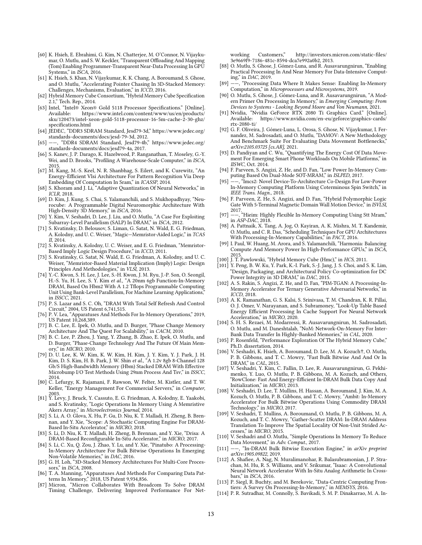- [60] K. Hsieh, E. Ebrahimi, G. Kim, N. Chatterjee, M. O'Connor, N. Vijaykumar, O. Mutlu, and S. W. Keckler, "Transparent Offloading And Mapping (Tom) Enabling Programmer-Transparent Near-Data Processing In GPU Systems," in  $ISCA$ , 2016.
- <span id="page-12-27"></span>[61] K. Hsieh, S. Khan, N. Vijaykumar, K. K. Chang, A. Boroumand, S. Ghose, and O. Mutlu, "Accelerating Pointer Chasing In 3D-Stacked Memory: Challenges, Mechanisms, Evaluation," in ICCD, 2016.
- <span id="page-12-7"></span>[62] Hybrid Memory Cube Consortium, "Hybrid Memory Cube Specification 2.1," Tech. Rep., 2014.
- <span id="page-12-20"></span>[63] Intel, "Intel® Xeon® Gold 5118 Processor Specifications." [Online].<br>Available: https://www.intel.com/content/www/us/en/products/ [https://www.intel.com/content/www/us/en/products/](https://www.intel.com/content/www/us/en/products/sku/120473/intel-xeon-gold-5118-processor-16-5m-cache-2-30-ghz/specifications.html) [sku/120473/intel-xeon-gold-5118-processor-16-5m-cache-2-30-ghz/](https://www.intel.com/content/www/us/en/products/sku/120473/intel-xeon-gold-5118-processor-16-5m-cache-2-30-ghz/specifications.html) specifications.html
- <span id="page-12-23"></span>[64] JEDEC, "DDR3 SDRAM Standard, Jesd79-3d," [https://www.jedec.org/](https://www.jedec.org/standards-documents/docs/jesd-79-3d) [standards-documents/docs/jesd-79-3d,](https://www.jedec.org/standards-documents/docs/jesd-79-3d) 2012.
- <span id="page-12-24"></span>[65] ——, "DDR4 SDRAM Standard, Jesd79-4b," [https://www.jedec.org/](https://www.jedec.org/standards-documents/docs/jesd79-4a) [standards-documents/docs/jesd79-4a,](https://www.jedec.org/standards-documents/docs/jesd79-4a) 2017.
- <span id="page-12-3"></span>[66] S. Kanev, J. P. Darago, K. Hazelwood, P. Ranganathan, T. Moseley, G.-Y. Wei, and D. Brooks, "Profiling A Warehouse-Scale Computer," in ISCA, 2015.
- <span id="page-12-28"></span>[67] M. Kang, M.-S. Keel, N. R. Shanbhag, S. Eilert, and K. Curewitz, "An Energy-Efficient Vlsi Architecture For Pattern Recognition Via Deep Embedding Of Computation In Sram," in ICASSP, 2014.
- <span id="page-12-26"></span>[68] S. Khoram and J. Li, "Adaptive Quantization Of Neural Networks," in ICLR, 2018.
- <span id="page-12-42"></span>[69] D. Kim, J. Kung, S. Chai, S. Yalamanchili, and S. Mukhopadhyay, "Neurocube: A Programmable Digital Neuromorphic Architecture With High-Density 3D Memory," in ISCA, 2016.
- <span id="page-12-19"></span>[70] Y. Kim, V. Seshadri, D. Lee, J. Liu, and O. Mutlu, "A Case For Exploiting Subarray-Level Parallelism (SALP) In DRAM," in ISCA, 2012.
- [71] S. Kvatinsky, D. Belousov, S. Liman, G. Satat, N. Wald, E. G. Friedman, A. Kolodny, and U. C. Weiser, "Magic—Memristor-Aided Logic," in TCAS II, 2014.
- [72] S. Kvatinsky, A. Kolodny, U. C. Weiser, and E. G. Friedman, "Memristor-Based Imply Logic Design Procedure," in ICCD, 2011.
- <span id="page-12-29"></span>[73] S. Kvatinsky, G. Satat, N. Wald, E. G. Friedman, A. Kolodny, and U. C. Weiser, "Memristor-Based Material Implication (Imply) Logic: Design Principles And Methodologies," in VLSI, 2013.
- <span id="page-12-8"></span>[74] Y.-C. Kwon, S. H. Lee, J. Lee, S.-H. Kwon, J. M. Ryu, J.-P. Son, O. Seongil, H.-S. Yu, H. Lee, S. Y. Kim et al., "A 20nm 6gb Function-In-Memory DRAM, Based On Hbm2 With A 1.2 Tflops Programmable Computing Unit Using Bank-Level Parallelism, For Machine Learning Applications, in ISSCC, 2021.
- <span id="page-12-22"></span>[75] P. S. Lazar and S. C. Oh, "DRAM With Total Self Refresh And Control Circuit," 2004, US Patent 6,741,515.
- <span id="page-12-30"></span>[76] P. V. Lea, "Apparatuses And Methods For In-Memory Operations," 2019, US Patent 10,268,389.
- [77] B. C. Lee, E. Ipek, O. Mutlu, and D. Burger, "Phase Change Memory Architecture And The Quest For Scalability," in CACM, 2010.
- <span id="page-12-31"></span>[78] B. C. Lee, P. Zhou, J. Yang, Y. Zhang, B. Zhao, E. Ipek, O. Mutlu, and D. Burger, "Phase-Change Technology And The Future Of Main Memory," in MICRO, 2010.
- <span id="page-12-9"></span>[79] D. U. Lee, K. W. Kim, K. W. Kim, H. Kim, J. Y. Kim, Y. J. Park, J. H. Kim, D. S. Kim, H. B. Park, J. W. Shin et al., "A 1.2v 8gb 8-Channel 128 Gb/S High-Bandwidth Memory (Hbm) Stacked DRAM With Effective Microbump I/O Test Methods Using 29nm Process And Tsv," in ISSCC,
- <span id="page-12-4"></span>2014. [80] C. Lefurgy, K. Rajamani, F. Rawson, W. Felter, M. Kistler, and T. W. Keller, "Energy Management For Commercial Servers," in Computer, 2003.
- <span id="page-12-32"></span>[81] Y. Levy, J. Bruck, Y. Cassuto, E. G. Friedman, A. Kolodny, E. Yaakobi, and S. Kvatinsky, "Logic Operations In Memory Using A Memristive Akers Array," in Microelectronics Journal, 2014.
- [82] S. Li, A. O. Glova, X. Hu, P. Gu, D. Niu, K. T. Malladi, H. Zheng, B. Brennan, and Y. Xie, "Scope: A Stochastic Computing Engine For DRAM-Based In-Situ Accelerator," in MICRO, 2018.
- <span id="page-12-13"></span>[83] S. Li, D. Niu, K. T. Malladi, H. Zheng, B. Brennan, and Y. Xie, "Drisa: A DRAM-Based Reconfigurable In-Situ Accelerator," in MICRO, 2017.
- <span id="page-12-33"></span>[84] S. Li, C. Xu, Q. Zou, J. Zhao, Y. Lu, and Y. Xie, "Pinatubo: A Processing-In-Memory Architecture For Bulk Bitwise Operations In Emerging Non-Volatile Memories" in DAC, 2016.
- <span id="page-12-10"></span>[85] G. H. Loh, "3D-Stacked Memory Architectures For Multi-Core Processors," in ISCA, 2008.
- <span id="page-12-34"></span>[86] T. A. Manning, "Apparatuses And Methods For Comparing Data Patterns In Memory," 2018, US Patent 9,934,856.
- <span id="page-12-25"></span>[87] Micron, "Micron Collaborates With Broadcom To Solve DRAM Timing Challenge, Delivering Improved Performance For Net-

working Customers," http://investors.micron.com/static-files/ [3e9669f9-7186-481c-8594-dca7e992a0b2,](http://investors.micron.com/static-files/3e9669f9-7186-481c-8594-dca7e992a0b2) 2013.

- <span id="page-12-0"></span>[88] O. Mutlu, S. Ghose, J. Gómez-Luna, and R. Ausavarungnirun, "Enabling Practical Processing In And Near Memory For Data-Intensive Computing," in DAC, 2019.
- <span id="page-12-1"></span>[89] ——, "Processing Data Where It Makes Sense: Enabling In-Memory Computation," in Microprocessors and Microsystems, 2019.
- <span id="page-12-35"></span>[90] O. Mutlu, S. Ghose, J. Gómez-Luna, and R. Ausavarungnirun, "A Modern Primer On Processing In Memory," in Emerging Computing: From Devices to Systems - Looking Beyond Moore and Von Neumann, 2021.
- <span id="page-12-21"></span>[91] Nvidia, "Nvidia GeForce RTX 2080 Ti Graphics Card." [Online].<br>Available: https://www.nvidia.com/en-eu/geforce/graphics-cards/ [https://www.nvidia.com/en-eu/geforce/graphics-cards/](https://www.nvidia.com/en-eu/geforce/graphics-cards/rtx-2080-ti/) [rtx-2080-ti/](https://www.nvidia.com/en-eu/geforce/graphics-cards/rtx-2080-ti/)
- <span id="page-12-17"></span>[92] G. F. Oliveira, J. Gómez-Luna, L. Orosa, S. Ghose, N. Vijaykumar, I. Fernandez, M. Sadrosadati, and O. Mutlu, "DAMOV: A New Methodology And Benchmark Suite For Evaluating Data Movement Bottlenecks, arXiv:2105.03725 [cs.AR], 2021.
- <span id="page-12-5"></span>[93] D. Pandiyan and C. Wu, "Quantifying The Energy Cost Of Data Movement For Emerging Smart Phone Workloads On Mobile Platforms," in IISWC, Oct. 2014.
- <span id="page-12-36"></span>[94] F. Parveen, S. Angizi, Z. He, and D. Fan, "Low Power In-Memory Computing Based On Dual-Mode SOT-MRAM," in ISLPED, 2017.
- [95] ——, "Imcs2: Novel Device-To-Architecture Co-Design For Low-Power In-Memory Computing Platform Using Coterminous Spin Switch," in IEEE Trans. Magn., 2018.
- [96] F. Parveen, Z. He, S. Angizi, and D. Fan, "Hybrid Polymorphic Logic Gate With 5-Terminal Magnetic Domain Wall Motion Device," in ISVLSI,
- <span id="page-12-37"></span>2017. [97] ——, "Hieim: Highly Flexible In-Memory Computing Using Stt Mram," in ASP-DAC, 2018.
- <span id="page-12-43"></span>[98] A. Pattnaik, X. Tang, A. Jog, O. Kayiran, A. K. Mishra, M. T. Kandemir, O. Mutlu, and C. R. Das, "Scheduling Techniques For GPU Architectures With Processing-In-Memory Capabilities," in PACT, 2016.
- <span id="page-12-6"></span>[99] I. Paul, W. Huang, M. Arora, and S. Yalamanchili, "Harmonia: Balancing Compute And Memory Power In High-Performance GPUs," in ISCA, 2015.
- <span id="page-12-11"></span>[100] J. T. Pawlowski, "Hybrid Memory Cube (Hmc)," in HCS, 2011.
- <span id="page-12-16"></span>[101] Y. Peng, B. W. Ku, Y. Park, K.-I. Park, S.-J. Jang, J. S. Choi, and S. K. Lim, "Design, Packaging, and Architectural Policy Co-optimization for DC Power Integrity in 3D DRAM," in DAC, 2015.
- <span id="page-12-38"></span>[102] A. S. Rakin, S. Angizi, Z. He, and D. Fan, "PIM-TGAN: A Processing-In-Memory Accelerator For Ternary Generative Adversarial Networks," in ICCD, 2018.
- [103] A. K. Ramanathan, G. S. Kalsi, S. Srinivasa, T. M. Chandran, K. R. Pillai, O. J. Omer, V. Narayanan, and S. Subramoney, "Look-Up Table Based Energy Efficient Processing In Cache Support For Neural Network Acceleration," in MICRO, 2020.
- <span id="page-12-39"></span>[104] S. H. S. Rezaei, M. Modarressi, R. Ausavarungnirun, M. Sadrosadati, O. Mutlu, and M. Daneshtalab, "NoM: Network-On-Memory For Inter-Bank Data Transfer In Highly-Banked Memories," in CAL, 2020.
- <span id="page-12-12"></span>[105] P. Rosenfeld, "Performance Exploration Of The Hybrid Memory Cube," Ph.D. dissertation, 2014.
- <span id="page-12-14"></span>[106] V. Seshadri, K. Hsieh, A. Boroumand, D. Lee, M. A. Kozuch†, O. Mutlu, P. B. Gibbons, and T. C. Mowry, "Fast Bulk Bitwise And And Or In DRAM," in CAL, 2015.
- <span id="page-12-41"></span>[107] V. Seshadri, Y. Kim, C. Fallin, D. Lee, R. Ausavarungnirun, G. Pekhimenko, Y. Luo, O. Mutlu, P. B. Gibbons, M. A. Kozuch, and Others, "RowClone: Fast And Energy-Ecient In-DRAM Bulk Data Copy And Initialization," in MICRO, 2013.
- <span id="page-12-15"></span>[108] V. Seshadri, D. Lee, T. Mullins, H. Hassan, A. Boroumand, J. Kim, M. A. Kozuch, O. Mutlu, P. B. Gibbons, and T. C. Mowry, "Ambit: In-Memory Accelerator For Bulk Bitwise Operations Using Commodity DRAM Technology," in MICRO, 2017.
- [109] V. Seshadri, T. Mullins, A. Boroumand, O. Mutlu, P. B. Gibbons, M. A. Kozuch, and T. C. Mowry, "Gather-Scatter DRAM: In-DRAM Address Translation To Improve The Spatial Locality Of Non-Unit Strided Accesses," in MICRO, 2015.
- [110] V. Seshadri and O. Mutlu, "Simple Operations In Memory To Reduce Data Movement," in Adv. Comput., 2017.
- [111] --, "In-DRAM Bulk Bitwise Execution Engine," in arXiv preprint arXiv:1905.09822, 2019.
- <span id="page-12-40"></span>[112] A. Shafiee, A. Nag, N. Muralimanohar, R. Balasubramonian, J. P. Strachan, M. Hu, R. S. Williams, and V. Srikumar, "Isaac: A Convolutional Neural Network Accelerator With In-Situ Analog Arithmetic In Crossbars," in ISCA, 2016.
- <span id="page-12-2"></span>[113] P. Siegl, R. Buchty, and M. Berekovic, "Data-Centric Computing Frontiers: A Survey On Processing-In-Memory," in MEMSYS, 2016.
- <span id="page-12-18"></span>[114] P. R. Sutradhar, M. Connolly, S. Bavikadi, S. M. P. Dinakarrao, M. A. In-